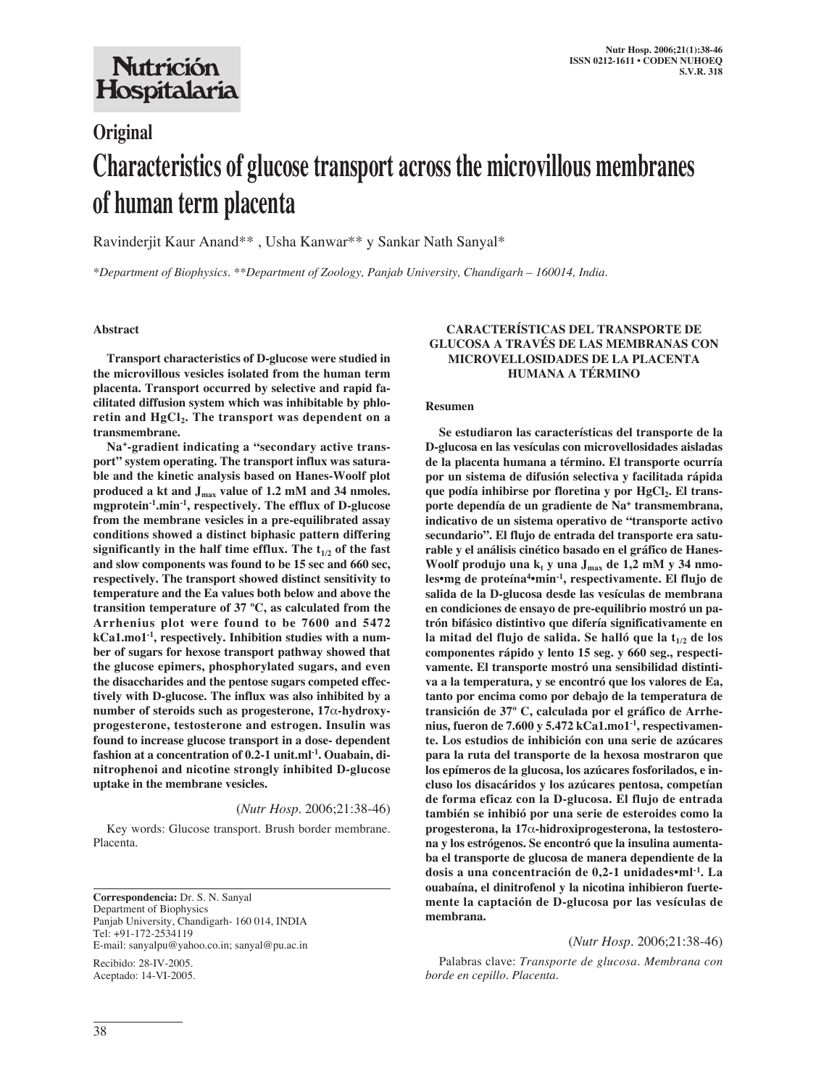# Nutrición Hospitalaria

# **Original Characteristics of glucose transport across the microvillous membranes of human term placenta**

Ravinderjit Kaur Anand\*\* , Usha Kanwar\*\* y Sankar Nath Sanyal\*

*\*Department of Biophysics. \*\*Department of Zoology, Panjab University, Chandigarh – 160014, India.*

#### **Abstract**

**Transport characteristics of D-glucose were studied in the microvillous vesicles isolated from the human term placenta. Transport occurred by selective and rapid facilitated diffusion system which was inhibitable by phlo**retin and HgCl<sub>2</sub>. The transport was dependent on a **transmembrane.**

**Na+-gradient indicating a "secondary active transport" system operating. The transport influx was saturable and the kinetic analysis based on Hanes-Woolf plot produced a kt and Jmax value of 1.2 mM and 34 nmoles. mgprotein-1.min-1, respectively. The efflux of D-glucose from the membrane vesicles in a pre-equilibrated assay conditions showed a distinct biphasic pattern differing** significantly in the half time efflux. The  $t_{1/2}$  of the fast **and slow components was found to be 15 sec and 660 sec, respectively. The transport showed distinct sensitivity to temperature and the Ea values both below and above the transition temperature of 37 ºC, as calculated from the Arrhenius plot were found to be 7600 and 5472 kCa1.mo1-1, respectively. Inhibition studies with a number of sugars for hexose transport pathway showed that the glucose epimers, phosphorylated sugars, and even the disaccharides and the pentose sugars competed effectively with D-glucose. The influx was also inhibited by a number of steroids such as progesterone, 17**α**-hydroxyprogesterone, testosterone and estrogen. Insulin was found to increase glucose transport in a dose- dependent fashion at a concentration of 0.2-1 unit.ml-1. Ouabain, dinitrophenoi and nicotine strongly inhibited D-glucose uptake in the membrane vesicles.**

#### (*Nutr Hosp.* 2006;21:38-46)

Key words: Glucose transport. Brush border membrane. Placenta.

**Correspondencia:** Dr. S. N. Sanyal Department of Biophysics Panjab University, Chandigarh- 160 014, INDIA Tel: +91-172-2534119 E-mail: sanyalpu@yahoo.co.in; sanyal@pu.ac.in Recibido: 28-IV-2005. Aceptado: 14-VI-2005.

#### **CARACTERÍSTICAS DEL TRANSPORTE DE GLUCOSA A TRAVÉS DE LAS MEMBRANAS CON MICROVELLOSIDADES DE LA PLACENTA HUMANA A TÉRMINO**

#### **Resumen**

**Se estudiaron las características del transporte de la D-glucosa en las vesículas con microvellosidades aisladas de la placenta humana a término. El transporte ocurría por un sistema de difusión selectiva y facilitada rápida** que podía inhibirse por floretina y por HgCl<sub>2</sub>. El trans**porte dependía de un gradiente de Na+ transmembrana, indicativo de un sistema operativo de "transporte activo secundario". El flujo de entrada del transporte era saturable y el análisis cinético basado en el gráfico de Hanes-**Woolf produjo una k<sub>t</sub> y una J<sub>max</sub> de 1,2 mM y 34 nmo**les•mg de proteína4•min-1, respectivamente. El flujo de salida de la D-glucosa desde las vesículas de membrana en condiciones de ensayo de pre-equilibrio mostró un patrón bifásico distintivo que difería significativamente en** la mitad del flujo de salida. Se halló que la t<sub>1/2</sub> de los **componentes rápido y lento 15 seg. y 660 seg., respectivamente. El transporte mostró una sensibilidad distintiva a la temperatura, y se encontró que los valores de Ea, tanto por encima como por debajo de la temperatura de transición de 37º C, calculada por el gráfico de Arrhenius, fueron de 7.600 y 5.472 kCa1.mo1-1, respectivamente. Los estudios de inhibición con una serie de azúcares para la ruta del transporte de la hexosa mostraron que los epímeros de la glucosa, los azúcares fosforilados, e incluso los disacáridos y los azúcares pentosa, competían de forma eficaz con la D-glucosa. El flujo de entrada también se inhibió por una serie de esteroides como la progesterona, la 17**α**-hidroxiprogesterona, la testosterona y los estrógenos. Se encontró que la insulina aumentaba el transporte de glucosa de manera dependiente de la dosis a una concentración de 0,2-1 unidades•ml-1. La ouabaína, el dinitrofenol y la nicotina inhibieron fuertemente la captación de D-glucosa por las vesículas de membrana.**

#### (*Nutr Hosp.* 2006;21:38-46)

Palabras clave: *Transporte de glucosa. Membrana con borde en cepillo. Placenta.*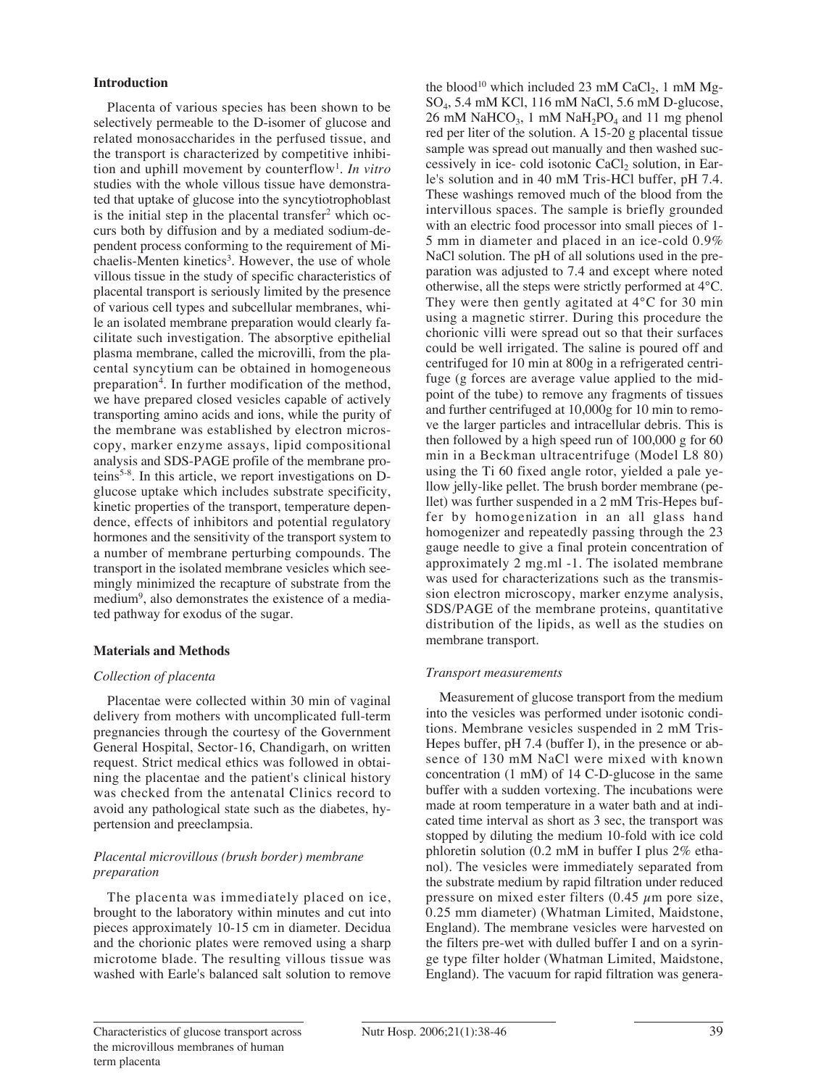# **Introduction**

Placenta of various species has been shown to be selectively permeable to the D-isomer of glucose and related monosaccharides in the perfused tissue, and the transport is characterized by competitive inhibition and uphill movement by counterflow1. *In vitro* studies with the whole villous tissue have demonstrated that uptake of glucose into the syncytiotrophoblast is the initial step in the placental transfer<sup>2</sup> which occurs both by diffusion and by a mediated sodium-dependent process conforming to the requirement of Michaelis-Menten kinetics<sup>3</sup>. However, the use of whole villous tissue in the study of specific characteristics of placental transport is seriously limited by the presence of various cell types and subcellular membranes, while an isolated membrane preparation would clearly facilitate such investigation. The absorptive epithelial plasma membrane, called the microvilli, from the placental syncytium can be obtained in homogeneous preparation<sup>4</sup>. In further modification of the method, we have prepared closed vesicles capable of actively transporting amino acids and ions, while the purity of the membrane was established by electron microscopy, marker enzyme assays, lipid compositional analysis and SDS-PAGE profile of the membrane proteins5-8. In this article, we report investigations on Dglucose uptake which includes substrate specificity, kinetic properties of the transport, temperature dependence, effects of inhibitors and potential regulatory hormones and the sensitivity of the transport system to a number of membrane perturbing compounds. The transport in the isolated membrane vesicles which seemingly minimized the recapture of substrate from the medium<sup>9</sup>, also demonstrates the existence of a mediated pathway for exodus of the sugar.

# **Materials and Methods**

#### *Collection of placenta*

Placentae were collected within 30 min of vaginal delivery from mothers with uncomplicated full-term pregnancies through the courtesy of the Government General Hospital, Sector-16, Chandigarh, on written request. Strict medical ethics was followed in obtaining the placentae and the patient's clinical history was checked from the antenatal Clinics record to avoid any pathological state such as the diabetes, hypertension and preeclampsia.

# *Placental microvillous (brush border) membrane preparation*

The placenta was immediately placed on ice, brought to the laboratory within minutes and cut into pieces approximately 10-15 cm in diameter. Decidua and the chorionic plates were removed using a sharp microtome blade. The resulting villous tissue was washed with Earle's balanced salt solution to remove

the blood<sup>10</sup> which included 23 mM CaCl<sub>2</sub>, 1 mM Mg-SO4, 5.4 mM KCl, 116 mM NaCl, 5.6 mM D-glucose, 26 mM NaHCO<sub>3</sub>, 1 mM NaH<sub>2</sub>PO<sub>4</sub> and 11 mg phenol red per liter of the solution. A 15-20 g placental tissue sample was spread out manually and then washed successively in ice- cold isotonic CaCl<sub>2</sub> solution, in Earle's solution and in 40 mM Tris-HCl buffer, pH 7.4. These washings removed much of the blood from the intervillous spaces. The sample is briefly grounded with an electric food processor into small pieces of 1- 5 mm in diameter and placed in an ice-cold 0.9% NaCl solution. The pH of all solutions used in the preparation was adjusted to 7.4 and except where noted otherwise, all the steps were strictly performed at 4°C. They were then gently agitated at 4°C for 30 min using a magnetic stirrer. During this procedure the chorionic villi were spread out so that their surfaces could be well irrigated. The saline is poured off and centrifuged for 10 min at 800g in a refrigerated centrifuge (g forces are average value applied to the midpoint of the tube) to remove any fragments of tissues and further centrifuged at 10,000g for 10 min to remove the larger particles and intracellular debris. This is then followed by a high speed run of 100,000 g for 60 min in a Beckman ultracentrifuge (Model L8 80) using the Ti 60 fixed angle rotor, yielded a pale yellow jelly-like pellet. The brush border membrane (pellet) was further suspended in a 2 mM Tris-Hepes buffer by homogenization in an all glass hand homogenizer and repeatedly passing through the 23 gauge needle to give a final protein concentration of approximately 2 mg.ml -1. The isolated membrane was used for characterizations such as the transmission electron microscopy, marker enzyme analysis, SDS/PAGE of the membrane proteins, quantitative distribution of the lipids, as well as the studies on membrane transport.

# *Transport measurements*

Measurement of glucose transport from the medium into the vesicles was performed under isotonic conditions. Membrane vesicles suspended in 2 mM Tris-Hepes buffer, pH 7.4 (buffer I), in the presence or absence of 130 mM NaCl were mixed with known concentration (1 mM) of 14 C-D-glucose in the same buffer with a sudden vortexing. The incubations were made at room temperature in a water bath and at indicated time interval as short as 3 sec, the transport was stopped by diluting the medium 10-fold with ice cold phloretin solution (0.2 mM in buffer I plus 2% ethanol). The vesicles were immediately separated from the substrate medium by rapid filtration under reduced pressure on mixed ester filters  $(0.45 \mu m)$  pore size, 0.25 mm diameter) (Whatman Limited, Maidstone, England). The membrane vesicles were harvested on the filters pre-wet with dulled buffer I and on a syringe type filter holder (Whatman Limited, Maidstone, England). The vacuum for rapid filtration was genera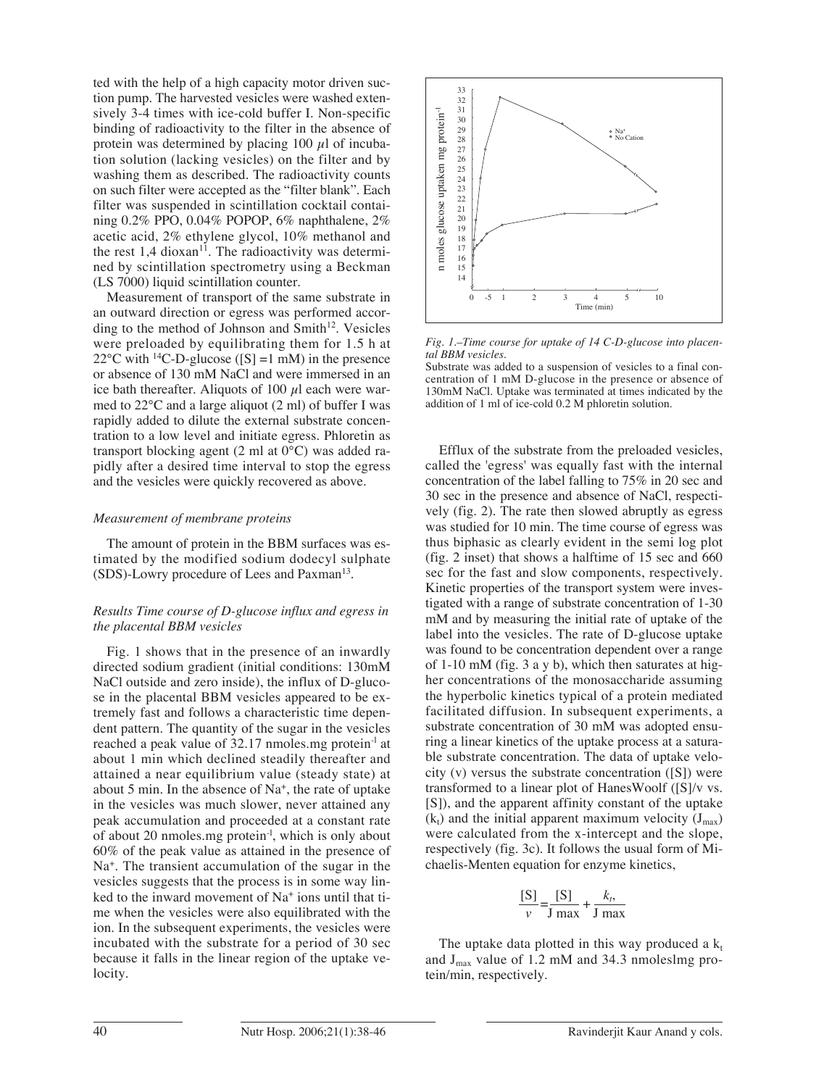ted with the help of a high capacity motor driven suction pump. The harvested vesicles were washed extensively 3-4 times with ice-cold buffer I. Non-specific binding of radioactivity to the filter in the absence of protein was determined by placing 100  $\mu$ l of incubation solution (lacking vesicles) on the filter and by washing them as described. The radioactivity counts on such filter were accepted as the "filter blank". Each filter was suspended in scintillation cocktail containing 0.2% PPO, 0.04% POPOP, 6% naphthalene, 2% acetic acid, 2% ethylene glycol, 10% methanol and the rest  $1,4$  dioxan<sup>11</sup>. The radioactivity was determined by scintillation spectrometry using a Beckman (LS 7000) liquid scintillation counter.

Measurement of transport of the same substrate in an outward direction or egress was performed according to the method of Johnson and Smith<sup>12</sup>. Vesicles were preloaded by equilibrating them for 1.5 h at 22°C with <sup>14</sup>C-D-glucose ([S] =1 mM) in the presence or absence of 130 mM NaCl and were immersed in an ice bath thereafter. Aliquots of 100  $\mu$ l each were warmed to 22°C and a large aliquot (2 ml) of buffer I was rapidly added to dilute the external substrate concentration to a low level and initiate egress. Phloretin as transport blocking agent (2 ml at 0°C) was added rapidly after a desired time interval to stop the egress and the vesicles were quickly recovered as above.

#### *Measurement of membrane proteins*

The amount of protein in the BBM surfaces was estimated by the modified sodium dodecyl sulphate (SDS)-Lowry procedure of Lees and Paxman<sup>13</sup>.

#### *Results Time course of D-glucose influx and egress in the placental BBM vesicles*

Fig. 1 shows that in the presence of an inwardly directed sodium gradient (initial conditions: 130mM NaCl outside and zero inside), the influx of D-glucose in the placental BBM vesicles appeared to be extremely fast and follows a characteristic time dependent pattern. The quantity of the sugar in the vesicles reached a peak value of 32.17 nmoles.mg protein<sup>-1</sup> at about 1 min which declined steadily thereafter and attained a near equilibrium value (steady state) at about 5 min. In the absence of  $Na<sup>+</sup>$ , the rate of uptake in the vesicles was much slower, never attained any peak accumulation and proceeded at a constant rate of about 20 nmoles.mg protein-l, which is only about 60% of the peak value as attained in the presence of Na<sup>+</sup>. The transient accumulation of the sugar in the vesicles suggests that the process is in some way linked to the inward movement of Na+ ions until that time when the vesicles were also equilibrated with the ion. In the subsequent experiments, the vesicles were incubated with the substrate for a period of 30 sec because it falls in the linear region of the uptake velocity.



*Fig. 1.–Time course for uptake of 14 C-D-glucose into placental BBM vesicles.*

Substrate was added to a suspension of vesicles to a final concentration of 1 mM D-glucose in the presence or absence of 130mM NaCl. Uptake was terminated at times indicated by the addition of 1 ml of ice-cold 0.2 M phloretin solution.

Efflux of the substrate from the preloaded vesicles, called the 'egress' was equally fast with the internal concentration of the label falling to 75% in 20 sec and 30 sec in the presence and absence of NaCl, respectively (fig. 2). The rate then slowed abruptly as egress was studied for 10 min. The time course of egress was thus biphasic as clearly evident in the semi log plot (fig. 2 inset) that shows a halftime of 15 sec and 660 sec for the fast and slow components, respectively. Kinetic properties of the transport system were investigated with a range of substrate concentration of 1-30 mM and by measuring the initial rate of uptake of the label into the vesicles. The rate of D-glucose uptake was found to be concentration dependent over a range of 1-10 mM (fig. 3 a y b), which then saturates at higher concentrations of the monosaccharide assuming the hyperbolic kinetics typical of a protein mediated facilitated diffusion. In subsequent experiments, a substrate concentration of 30 mM was adopted ensuring a linear kinetics of the uptake process at a saturable substrate concentration. The data of uptake velocity (v) versus the substrate concentration ([S]) were transformed to a linear plot of HanesWoolf ([S]/v vs. [S]), and the apparent affinity constant of the uptake  $(k<sub>t</sub>)$  and the initial apparent maximum velocity  $(J<sub>max</sub>)$ were calculated from the x-intercept and the slope, respectively (fig. 3c). It follows the usual form of Michaelis-Menten equation for enzyme kinetics,

$$
\frac{[S]}{v} = \frac{[S]}{J \max} + \frac{k_t}{J \max}
$$

The uptake data plotted in this way produced a  $k_t$ and  $J_{max}$  value of 1.2 mM and 34.3 nmoleslmg protein/min, respectively.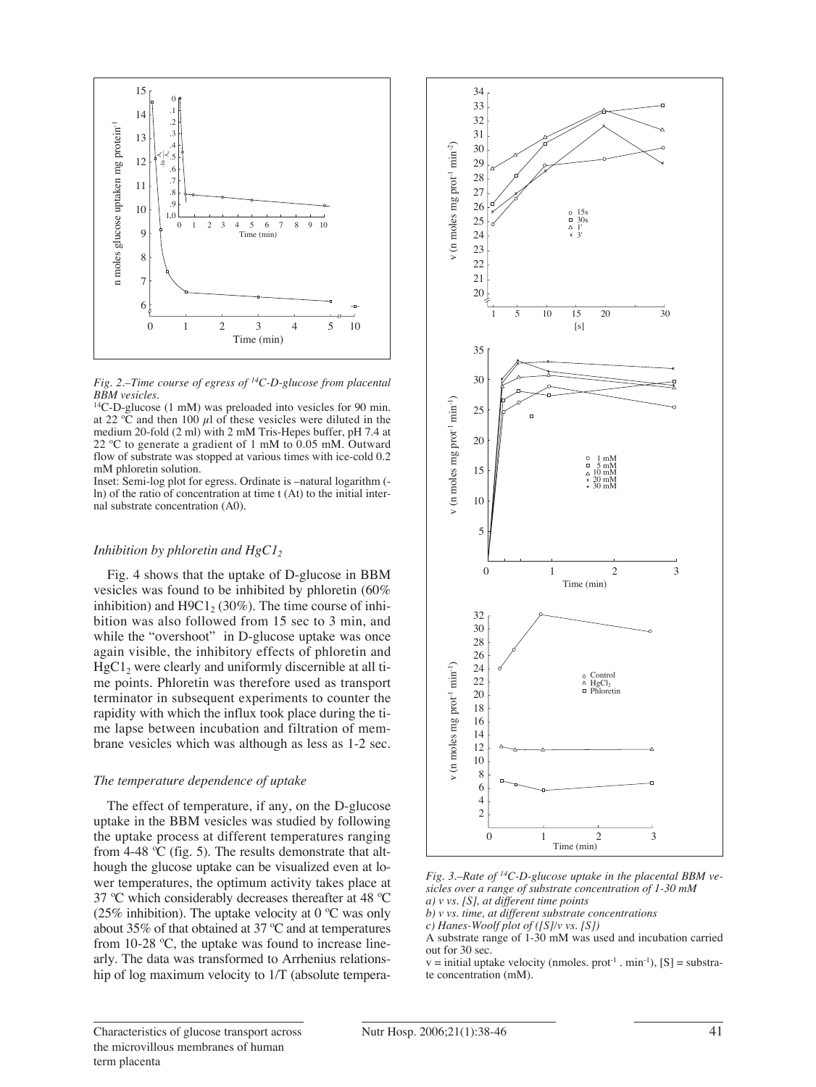



14C-D-glucose (1 mM) was preloaded into vesicles for 90 min. at 22  $\degree$ C and then 100  $\mu$ l of these vesicles were diluted in the medium 20-fold (2 ml) with 2 mM Tris-Hepes buffer, pH 7.4 at 22 ºC to generate a gradient of 1 mM to 0.05 mM. Outward flow of substrate was stopped at various times with ice-cold 0.2 mM phloretin solution.

Inset: Semi-log plot for egress. Ordinate is –natural logarithm ( ln) of the ratio of concentration at time t (At) to the initial internal substrate concentration (A0).

#### *Inhibition by phloretin and HgCl<sub>2</sub>*

Fig. 4 shows that the uptake of D-glucose in BBM vesicles was found to be inhibited by phloretin (60% inhibition) and  $H9C1<sub>2</sub>$  (30%). The time course of inhibition was also followed from 15 sec to 3 min, and while the "overshoot" in D-glucose uptake was once again visible, the inhibitory effects of phloretin and  $HgCl<sub>2</sub>$  were clearly and uniformly discernible at all time points. Phloretin was therefore used as transport terminator in subsequent experiments to counter the rapidity with which the influx took place during the time lapse between incubation and filtration of membrane vesicles which was although as less as 1-2 sec.

#### *The temperature dependence of uptake*

The effect of temperature, if any, on the D-glucose uptake in the BBM vesicles was studied by following the uptake process at different temperatures ranging from 4-48 ºC (fig. 5). The results demonstrate that although the glucose uptake can be visualized even at lower temperatures, the optimum activity takes place at 37 ºC which considerably decreases thereafter at 48 ºC (25% inhibition). The uptake velocity at  $0^{\circ}$ C was only about 35% of that obtained at 37 ºC and at temperatures from 10-28 ºC, the uptake was found to increase linearly. The data was transformed to Arrhenius relationship of log maximum velocity to 1/T (absolute tempera-



*Fig. 3.–Rate of 14C-D-glucose uptake in the placental BBM vesicles over a range of substrate concentration of 1-30 mM a) v vs. [S], at different time points*

*b) v vs. time, at different substrate concentrations*

*c) Hanes-Woolf plot of ([S]/v vs. [S])*

A substrate range of 1-30 mM was used and incubation carried out for 30 sec.

 $v =$  initial uptake velocity (nmoles. prot<sup>-1</sup> . min<sup>-1</sup>), [S] = substrate concentration (mM).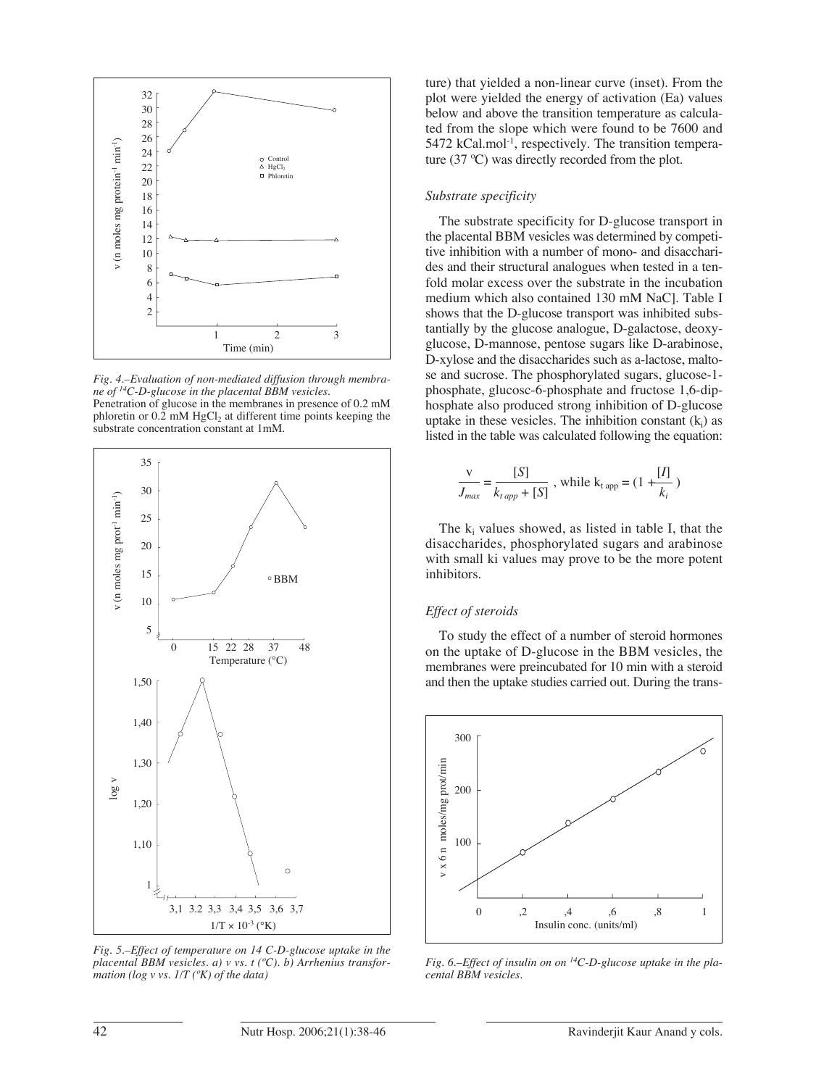

*Fig. 4.–Evaluation of non-mediated diffusion through membrane of 14C-D-glucose in the placental BBM vesicles.* Penetration of glucose in the membranes in presence of 0.2 mM phloretin or  $0.\overline{2}$  mM HgCl<sub>2</sub> at different time points keeping the substrate concentration constant at 1mM.



*Fig. 5.–Effect of temperature on 14 C-D-glucose uptake in the placental BBM vesicles. a) v vs. t (ºC). b) Arrhenius transformation (log v vs. 1/T (ºK) of the data)*

ture) that yielded a non-linear curve (inset). From the plot were yielded the energy of activation (Ea) values below and above the transition temperature as calculated from the slope which were found to be 7600 and  $5472$  kCal.mol<sup>-1</sup>, respectively. The transition temperature (37 ºC) was directly recorded from the plot.

#### *Substrate specificity*

The substrate specificity for D-glucose transport in the placental BBM vesicles was determined by competitive inhibition with a number of mono- and disaccharides and their structural analogues when tested in a tenfold molar excess over the substrate in the incubation medium which also contained 130 mM NaC]. Table I shows that the D-glucose transport was inhibited substantially by the glucose analogue, D-galactose, deoxyglucose, D-mannose, pentose sugars like D-arabinose, D-xylose and the disaccharides such as a-lactose, maltose and sucrose. The phosphorylated sugars, glucose-1 phosphate, glucosc-6-phosphate and fructose 1,6-diphosphate also produced strong inhibition of D-glucose uptake in these vesicles. The inhibition constant  $(k_i)$  as listed in the table was calculated following the equation:

$$
\frac{\text{v}}{J_{max}} = \frac{[S]}{k_{t\,app} + [S]}
$$
, while  $k_{t\,app} = (1 + \frac{[I]}{k_i})$ 

The  $k_i$  values showed, as listed in table I, that the disaccharides, phosphorylated sugars and arabinose with small ki values may prove to be the more potent inhibitors.

### *Effect of steroids*

To study the effect of a number of steroid hormones on the uptake of D-glucose in the BBM vesicles, the membranes were preincubated for 10 min with a steroid and then the uptake studies carried out. During the trans-



*Fig. 6.–Effect of insulin on on 14C-D-glucose uptake in the placental BBM vesicles.*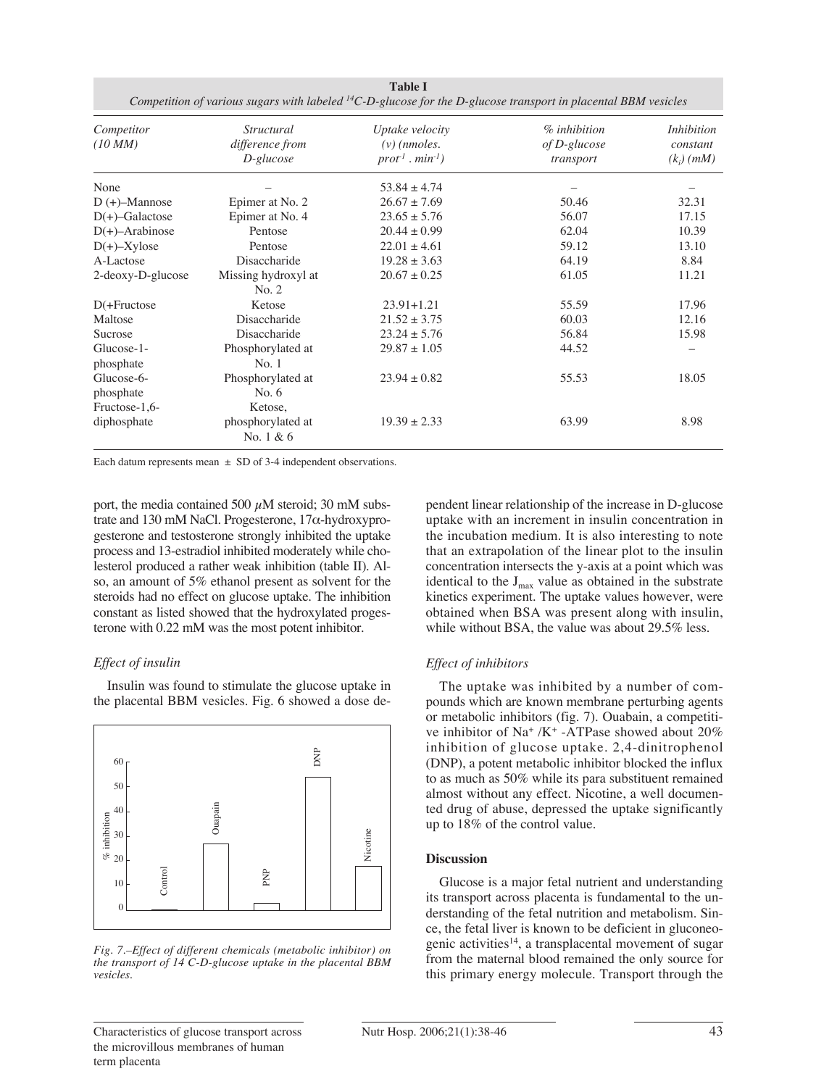| <b>Table I</b><br>Competition of various sugars with labeled ${}^{14}C$ -D-glucose for the D-glucose transport in placental BBM vesicles |                                                      |                                                                     |                                             |                                        |  |
|------------------------------------------------------------------------------------------------------------------------------------------|------------------------------------------------------|---------------------------------------------------------------------|---------------------------------------------|----------------------------------------|--|
| Competitor<br>$(10\text{ }\mathrm{MM})$                                                                                                  | <i>Structural</i><br>difference from<br>$D$ -glucose | Uptake velocity<br>$(v)$ (nmoles.<br>$prot-1$ . min <sup>-1</sup> ) | $%$ inhibition<br>of D-glucose<br>transport | Inhibition<br>constant<br>$(k_i)$ (mM) |  |
| None                                                                                                                                     |                                                      | $53.84 \pm 4.74$                                                    |                                             |                                        |  |
| $D (+)$ -Mannose                                                                                                                         | Epimer at No. 2                                      | $26.67 \pm 7.69$                                                    | 50.46                                       | 32.31                                  |  |
| $D(+)$ -Galactose                                                                                                                        | Epimer at No. 4                                      | $23.65 \pm 5.76$                                                    | 56.07                                       | 17.15                                  |  |
| $D(+)$ -Arabinose                                                                                                                        | Pentose                                              | $20.44 \pm 0.99$                                                    | 62.04                                       | 10.39                                  |  |
| $D(+)$ -Xylose                                                                                                                           | Pentose                                              | $22.01 \pm 4.61$                                                    | 59.12                                       | 13.10                                  |  |
| A-Lactose                                                                                                                                | Disaccharide                                         | $19.28 \pm 3.63$                                                    | 64.19                                       | 8.84                                   |  |
| 2-deoxy-D-glucose                                                                                                                        | Missing hydroxyl at<br>No. 2                         | $20.67\pm0.25$                                                      | 61.05                                       | 11.21                                  |  |
| $D$ (+Fructose                                                                                                                           | Ketose                                               | $23.91 + 1.21$                                                      | 55.59                                       | 17.96                                  |  |
| Maltose                                                                                                                                  | Disaccharide                                         | $21.52 \pm 3.75$                                                    | 60.03                                       | 12.16                                  |  |
| Sucrose                                                                                                                                  | Disaccharide                                         | $23.24 \pm 5.76$                                                    | 56.84                                       | 15.98                                  |  |
| Glucose-1-<br>phosphate                                                                                                                  | Phosphorylated at<br>No.1                            | $29.87 \pm 1.05$                                                    | 44.52                                       |                                        |  |
| Glucose-6-<br>phosphate<br>Fructose-1,6-                                                                                                 | Phosphorylated at<br>No. $6$<br>Ketose,              | $23.94 \pm 0.82$                                                    | 55.53                                       | 18.05                                  |  |
| diphosphate                                                                                                                              | phosphorylated at<br>No. 1 & 6                       | $19.39 \pm 2.33$                                                    | 63.99                                       | 8.98                                   |  |

Each datum represents mean  $\pm$  SD of 3-4 independent observations.

port, the media contained 500  $\mu$ M steroid; 30 mM substrate and 130 mM NaCl. Progesterone, 17α-hydroxyprogesterone and testosterone strongly inhibited the uptake process and 13-estradiol inhibited moderately while cholesterol produced a rather weak inhibition (table II). Also, an amount of 5% ethanol present as solvent for the steroids had no effect on glucose uptake. The inhibition constant as listed showed that the hydroxylated progesterone with 0.22 mM was the most potent inhibitor.

#### *Effect of insulin*

Insulin was found to stimulate the glucose uptake in the placental BBM vesicles. Fig. 6 showed a dose de-



*Fig. 7.–Effect of different chemicals (metabolic inhibitor) on the transport of 14 C-D-glucose uptake in the placental BBM vesicles.*

pendent linear relationship of the increase in D-glucose uptake with an increment in insulin concentration in the incubation medium. It is also interesting to note that an extrapolation of the linear plot to the insulin concentration intersects the y-axis at a point which was identical to the  $J_{\text{max}}$  value as obtained in the substrate kinetics experiment. The uptake values however, were obtained when BSA was present along with insulin, while without BSA, the value was about 29.5% less.

#### *Effect of inhibitors*

The uptake was inhibited by a number of compounds which are known membrane perturbing agents or metabolic inhibitors (fig. 7). Ouabain, a competitive inhibitor of Na+ /K+ -ATPase showed about 20% inhibition of glucose uptake. 2,4-dinitrophenol (DNP), a potent metabolic inhibitor blocked the influx to as much as 50% while its para substituent remained almost without any effect. Nicotine, a well documented drug of abuse, depressed the uptake significantly up to 18% of the control value.

#### **Discussion**

Glucose is a major fetal nutrient and understanding its transport across placenta is fundamental to the understanding of the fetal nutrition and metabolism. Since, the fetal liver is known to be deficient in gluconeogenic activities<sup>14</sup>, a transplacental movement of sugar from the maternal blood remained the only source for this primary energy molecule. Transport through the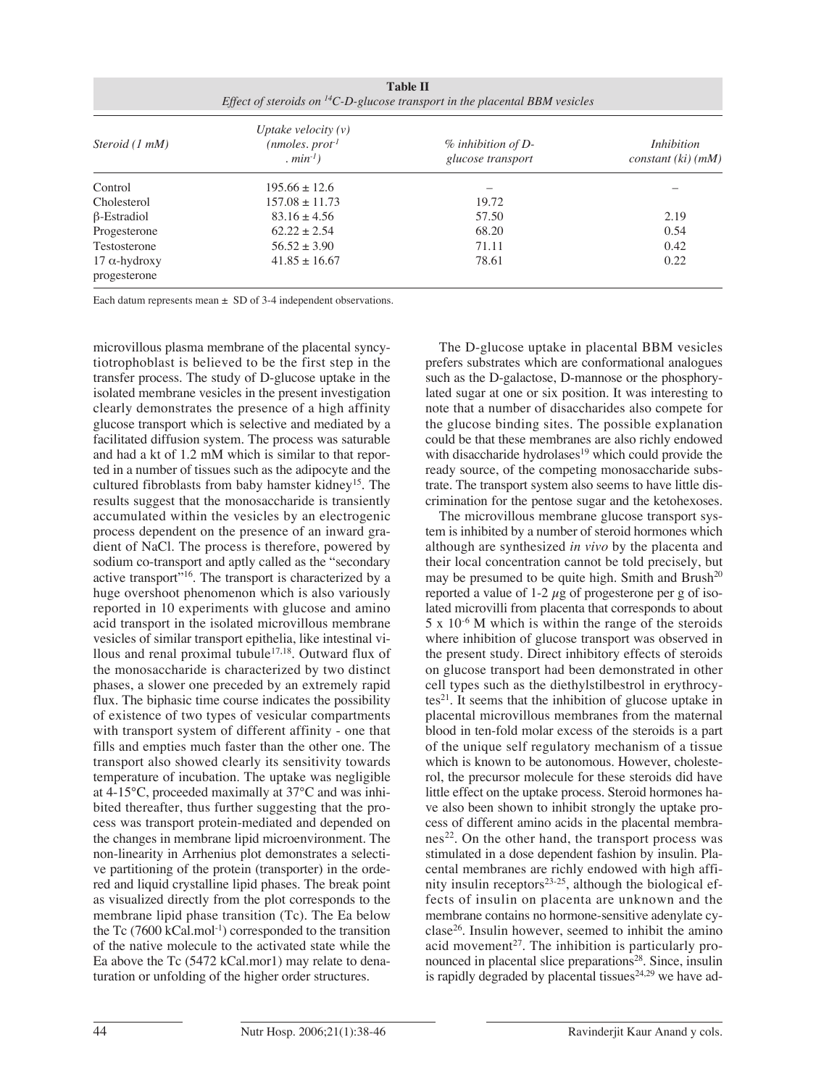| Steroid (1 mM)                       | Uptake velocity $(v)$<br>$(mmoles.$ prot <sup>1</sup><br>$. min^{-1}$ | $\%$ inhibition of D-<br>glucose transport | <i>Inhibition</i><br>constant (ki) (mM) |
|--------------------------------------|-----------------------------------------------------------------------|--------------------------------------------|-----------------------------------------|
| Control                              | $195.66 \pm 12.6$                                                     |                                            |                                         |
| Cholesterol                          | $157.08 \pm 11.73$                                                    | 19.72                                      |                                         |
| $\beta$ -Estradiol                   | $83.16 \pm 4.56$                                                      | 57.50                                      | 2.19                                    |
| Progesterone                         | $62.22 \pm 2.54$                                                      | 68.20                                      | 0.54                                    |
| Testosterone                         | $56.52 \pm 3.90$                                                      | 71.11                                      | 0.42                                    |
| $17 \alpha$ -hydroxy<br>progesterone | $41.85 \pm 16.67$                                                     | 78.61                                      | 0.22                                    |

Each datum represents mean  $\pm$  SD of 3-4 independent observations.

microvillous plasma membrane of the placental syncytiotrophoblast is believed to be the first step in the transfer process. The study of D-glucose uptake in the isolated membrane vesicles in the present investigation clearly demonstrates the presence of a high affinity glucose transport which is selective and mediated by a facilitated diffusion system. The process was saturable and had a kt of 1.2 mM which is similar to that reported in a number of tissues such as the adipocyte and the cultured fibroblasts from baby hamster kidney<sup>15</sup>. The results suggest that the monosaccharide is transiently accumulated within the vesicles by an electrogenic process dependent on the presence of an inward gradient of NaCl. The process is therefore, powered by sodium co-transport and aptly called as the "secondary active transport<sup>716</sup>. The transport is characterized by a huge overshoot phenomenon which is also variously reported in 10 experiments with glucose and amino acid transport in the isolated microvillous membrane vesicles of similar transport epithelia, like intestinal villous and renal proximal tubule17,18. Outward flux of the monosaccharide is characterized by two distinct phases, a slower one preceded by an extremely rapid flux. The biphasic time course indicates the possibility of existence of two types of vesicular compartments with transport system of different affinity - one that fills and empties much faster than the other one. The transport also showed clearly its sensitivity towards temperature of incubation. The uptake was negligible at 4-15°C, proceeded maximally at 37°C and was inhibited thereafter, thus further suggesting that the process was transport protein-mediated and depended on the changes in membrane lipid microenvironment. The non-linearity in Arrhenius plot demonstrates a selective partitioning of the protein (transporter) in the ordered and liquid crystalline lipid phases. The break point as visualized directly from the plot corresponds to the membrane lipid phase transition (Tc). The Ea below the Tc  $(7600 \text{ kCal.mol-1})$  corresponded to the transition of the native molecule to the activated state while the Ea above the Tc (5472 kCal.mor1) may relate to denaturation or unfolding of the higher order structures.

The D-glucose uptake in placental BBM vesicles prefers substrates which are conformational analogues such as the D-galactose, D-mannose or the phosphorylated sugar at one or six position. It was interesting to note that a number of disaccharides also compete for the glucose binding sites. The possible explanation could be that these membranes are also richly endowed with disaccharide hydrolases<sup>19</sup> which could provide the ready source, of the competing monosaccharide substrate. The transport system also seems to have little discrimination for the pentose sugar and the ketohexoses.

The microvillous membrane glucose transport system is inhibited by a number of steroid hormones which although are synthesized *in vivo* by the placenta and their local concentration cannot be told precisely, but may be presumed to be quite high. Smith and Brush $^{20}$ reported a value of 1-2  $\mu$ g of progesterone per g of isolated microvilli from placenta that corresponds to about  $5 \times 10^{-6}$  M which is within the range of the steroids where inhibition of glucose transport was observed in the present study. Direct inhibitory effects of steroids on glucose transport had been demonstrated in other cell types such as the diethylstilbestrol in erythrocytes $^{21}$ . It seems that the inhibition of glucose uptake in placental microvillous membranes from the maternal blood in ten-fold molar excess of the steroids is a part of the unique self regulatory mechanism of a tissue which is known to be autonomous. However, cholesterol, the precursor molecule for these steroids did have little effect on the uptake process. Steroid hormones have also been shown to inhibit strongly the uptake process of different amino acids in the placental membranes<sup>22</sup>. On the other hand, the transport process was stimulated in a dose dependent fashion by insulin. Placental membranes are richly endowed with high affinity insulin receptors $23-25$ , although the biological effects of insulin on placenta are unknown and the membrane contains no hormone-sensitive adenylate cyclase26. Insulin however, seemed to inhibit the amino acid movement<sup>27</sup>. The inhibition is particularly pronounced in placental slice preparations<sup>28</sup>. Since, insulin is rapidly degraded by placental tissues<sup>24,29</sup> we have ad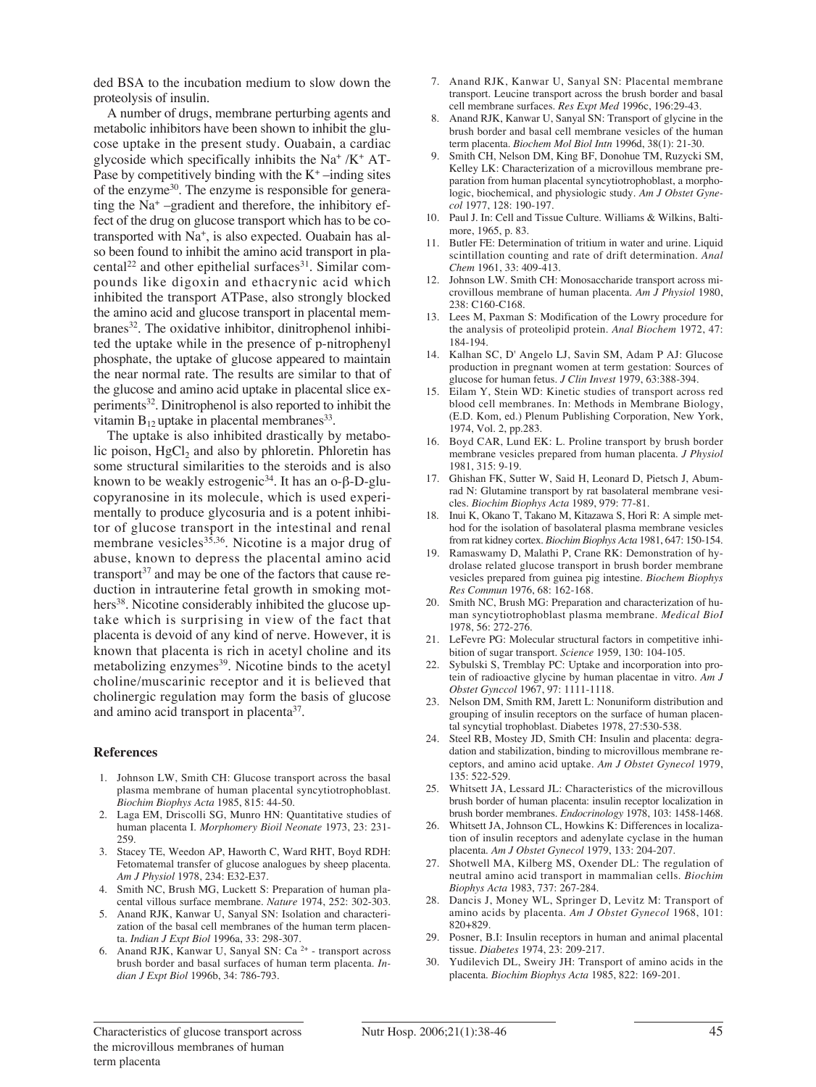ded BSA to the incubation medium to slow down the proteolysis of insulin.

A number of drugs, membrane perturbing agents and metabolic inhibitors have been shown to inhibit the glucose uptake in the present study. Ouabain, a cardiac glycoside which specifically inhibits the Na<sup>+</sup> /K<sup>+</sup> AT-Pase by competitively binding with the  $K^+$  –inding sites of the enzyme30. The enzyme is responsible for generating the Na<sup>+</sup> –gradient and therefore, the inhibitory effect of the drug on glucose transport which has to be cotransported with Na<sup>+</sup>, is also expected. Ouabain has also been found to inhibit the amino acid transport in placental<sup>22</sup> and other epithelial surfaces<sup>31</sup>. Similar compounds like digoxin and ethacrynic acid which inhibited the transport ATPase, also strongly blocked the amino acid and glucose transport in placental membranes<sup>32</sup>. The oxidative inhibitor, dinitrophenol inhibited the uptake while in the presence of p-nitrophenyl phosphate, the uptake of glucose appeared to maintain the near normal rate. The results are similar to that of the glucose and amino acid uptake in placental slice experiments<sup>32</sup>. Dinitrophenol is also reported to inhibit the vitamin  $B_{12}$  uptake in placental membranes<sup>33</sup>.

The uptake is also inhibited drastically by metabolic poison,  $HgCl<sub>2</sub>$  and also by phloretin. Phloretin has some structural similarities to the steroids and is also known to be weakly estrogenic<sup>34</sup>. It has an o-β-D-glucopyranosine in its molecule, which is used experimentally to produce glycosuria and is a potent inhibitor of glucose transport in the intestinal and renal membrane vesicles<sup>35,36</sup>. Nicotine is a major drug of abuse, known to depress the placental amino acid transport $37$  and may be one of the factors that cause reduction in intrauterine fetal growth in smoking mothers<sup>38</sup>. Nicotine considerably inhibited the glucose uptake which is surprising in view of the fact that placenta is devoid of any kind of nerve. However, it is known that placenta is rich in acetyl choline and its metabolizing enzymes<sup>39</sup>. Nicotine binds to the acetyl choline/muscarinic receptor and it is believed that cholinergic regulation may form the basis of glucose and amino acid transport in placenta<sup>37</sup>.

#### **References**

- 1. Johnson LW, Smith CH: Glucose transport across the basal plasma membrane of human placental syncytiotrophoblast. *Biochim Biophys Acta* 1985, 815: 44-50.
- 2. Laga EM, Driscolli SG, Munro HN: Quantitative studies of human placenta I. *Morphomery Bioil Neonate* 1973, 23: 231- 259.
- 3. Stacey TE, Weedon AP, Haworth C, Ward RHT, Boyd RDH: Fetomatemal transfer of glucose analogues by sheep placenta. *Am J Physiol* 1978, 234: E32-E37.
- 4. Smith NC, Brush MG, Luckett S: Preparation of human placental villous surface membrane. *Nature* 1974, 252: 302-303.
- 5. Anand RJK, Kanwar U, Sanyal SN: Isolation and characterization of the basal cell membranes of the human term placenta. *Indian J Expt Biol* 1996a, 33: 298-307.
- 6. Anand RJK, Kanwar U, Sanyal SN: Ca 2+ transport across brush border and basal surfaces of human term placenta. *Indian J Expt Biol* 1996b, 34: 786-793.
- 7. Anand RJK, Kanwar U, Sanyal SN: Placental membrane transport. Leucine transport across the brush border and basal cell membrane surfaces. *Res Expt Med* 1996c, 196:29-43.
- 8. Anand RJK, Kanwar U, Sanyal SN: Transport of glycine in the brush border and basal cell membrane vesicles of the human term placenta. *Biochem Mol Biol Intn* 1996d, 38(1): 21-30.
- 9. Smith CH, Nelson DM, King BF, Donohue TM, Ruzycki SM, Kelley LK: Characterization of a microvillous membrane preparation from human placental syncytiotrophoblast, a morphologic, biochemical, and physiologic study. *Am J Obstet Gynecol* 1977, 128: 190-197.
- 10. Paul J. In: Cell and Tissue Culture. Williams & Wilkins, Baltimore, 1965, p. 83.
- 11. Butler FE: Determination of tritium in water and urine. Liquid scintillation counting and rate of drift determination. *Anal Chem* 1961, 33: 409-413.
- 12. Johnson LW. Smith CH: Monosaccharide transport across microvillous membrane of human placenta. *Am J Physiol* 1980, 238: C160-C168.
- 13. Lees M, Paxman S: Modification of the Lowry procedure for the analysis of proteolipid protein. *Anal Biochem* 1972, 47: 184-194.
- 14. Kalhan SC, D' Angelo LJ, Savin SM, Adam P AJ: Glucose production in pregnant women at term gestation: Sources of glucose for human fetus. *J Clin Invest* 1979, 63:388-394.
- 15. Eilam Y, Stein WD: Kinetic studies of transport across red blood cell membranes. In: Methods in Membrane Biology, (E.D. Kom, ed.) Plenum Publishing Corporation, New York, 1974, Vol. 2, pp.283.
- 16. Boyd CAR, Lund EK: L. Proline transport by brush border membrane vesicles prepared from human placenta. *J Physiol* 1981, 315: 9-19.
- 17. Ghishan FK, Sutter W, Said H, Leonard D, Pietsch J, Abumrad N: Glutamine transport by rat basolateral membrane vesicles. *Biochim Biophys Acta* 1989, 979: 77-81.
- 18. Inui K, Okano T, Takano M, Kitazawa S, Hori R: A simple method for the isolation of basolateral plasma membrane vesicles from rat kidney cortex. *Biochim Biophys Acta* 1981, 647: 150-154.
- 19. Ramaswamy D, Malathi P, Crane RK: Demonstration of hydrolase related glucose transport in brush border membrane vesicles prepared from guinea pig intestine. *Biochem Biophys Res Commun* 1976, 68: 162-168.
- 20. Smith NC, Brush MG: Preparation and characterization of human syncytiotrophoblast plasma membrane. *Medical BioI* 1978, 56: 272-276.
- 21. LeFevre PG: Molecular structural factors in competitive inhibition of sugar transport. *Science* 1959, 130: 104-105.
- 22. Sybulski S, Tremblay PC: Uptake and incorporation into protein of radioactive glycine by human placentae in vitro. *Am J Obstet Gynccol* 1967, 97: 1111-1118.
- 23. Nelson DM, Smith RM, Jarett L: Nonuniform distribution and grouping of insulin receptors on the surface of human placental syncytial trophoblast. Diabetes 1978, 27:530-538.
- 24. Steel RB, Mostey JD, Smith CH: Insulin and placenta: degradation and stabilization, binding to microvillous membrane receptors, and amino acid uptake. *Am J Obstet Gynecol* 1979, 135: 522-529.
- 25. Whitsett JA, Lessard JL: Characteristics of the microvillous brush border of human placenta: insulin receptor localization in brush border membranes. *Endocrinology* 1978, 103: 1458-1468.
- 26. Whitsett JA, Johnson CL, Howkins K: Differences in localization of insulin receptors and adenylate cyclase in the human placenta. *Am J Obstet Gynecol* 1979, 133: 204-207.
- 27. Shotwell MA, Kilberg MS, Oxender DL: The regulation of neutral amino acid transport in mammalian cells. *Biochim Biophys Acta* 1983, 737: 267-284.
- 28. Dancis J, Money WL, Springer D, Levitz M: Transport of amino acids by placenta. *Am J Obstet Gynecol* 1968, 101: 820+829.
- 29. Posner, B.I: Insulin receptors in human and animal placental tissue. *Diabetes* 1974, 23: 209-217.
- 30. Yudilevich DL, Sweiry JH: Transport of amino acids in the placenta. *Biochim Biophys Acta* 1985, 822: 169-201.